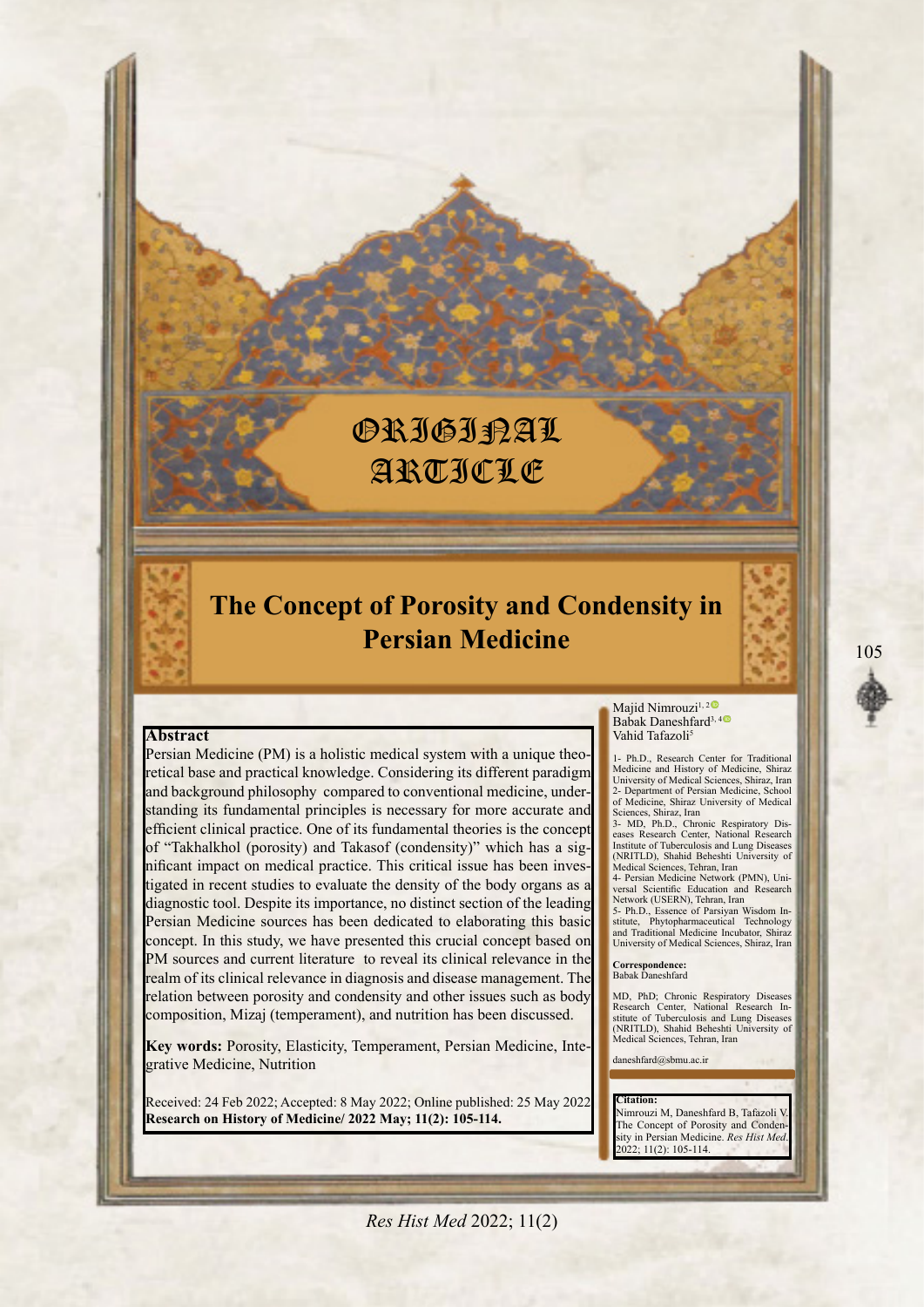# **ORIGIRAL** ARTICLE

## **The Concept of Porosity and Condensity in Persian Medicine**

#### **Abstract**

retical base and practical knowledge. Considering its different paradigm Persian Medicine (PM) is a holistic medical system with a unique theostanding its fundamental principles is necessary for more accurate and and background philosophy compared to conventional medicine, under efficient clinical practice. One of its fundamental theories is the concept mificant impact on medical practice. This critical issue has been investigated in recent studies to evaluate the density of the body organs as a of "Takhalkhol (porosity) and Takasof (condensity)" which has a significant impact on medical practice. This critical issue has been invesdiagnostic tool. Despite its importance, no distinct section of the leading Persian Medicine sources has been dedicated to elaborating this basic concept. In this study, we have presented this crucial concept based on PM sources and current literature to reveal its clinical relevance in the realm of its clinical relevance in diagnosis and disease management. The relation between porosity and condensity and other issues such as body composition, Mizaj (temperament), and nutrition has been discussed.

Key words: Porosity, Elasticity, Temperament, Persian Medicine, Integrative Medicine, Nutrition

Received: 24 Feb 2022: Accepted: 8 May 2022: Online published: 25 May 2022 **Research on History of Medicine/ 2022 May; 11(2): 105-114.** 

Majid Nimrouzi<sup>1,[2](https://orcid.org/0000-0003-4630-2082)0</sup> Babak Daneshfard<sup>3,[4](https://orcid.org/0000-0001-6729-9113)0</sup> Vahid Tafazoli<sup>5</sup>

1- Ph.D., Research Center for Traditional Medicine and History of Medicine, Shiraz<br>University of Medical Sciences, Shiraz, Iran 2- Department of Persian Medicine, School<br>of Medicine, Shiraz University of Medical

Sciences, Shiraz, Iran<br>3- MD, Ph.D., Chronic Respiratory Dis 3- MD, Ph.D., Chronic Respiratory Diseases Research Center, National Research<br>Institute of Tuberculosis and Lung Diseases (NRITLD), Shahid Beheshti University of<br>Medical Sciences, Tehran, Iran

**Research Scientific Education and Research** 4- Persian Medicine Network (PMN) Uni-Network (USERN), Tehran, Iran<br>5- Ph.D., Essence of Parsiyan Wisdom In

5- Ph.D., Essence of Parsiyan Wisdom Institute, Phytopharmaceutical Technology<br>and Traditional Medicine Incubator, Shiraz University of Medical Sciences, Shiraz, Iran

Correspondence:<br>Babak Daneshfard

MD, PhD; Chronic Respiratory Diseases<br>Research Center, National Research In-<br>stitute of Tuberculosis and Lung Diseases (NRITLD), Shahid Beheshti University of Medical Sciences, Tehran, Iran

daneshfard@sbmu.ac.ir

#### **:Citation**

Nimrouzi M. Daneshfard B. Tafazoli V sity in Persian Medicine. *Res Hist Me* The Concept of Porosity and Conden 2022; 11(2): 105-114.

**Res Hist Med 2022; 11(2)**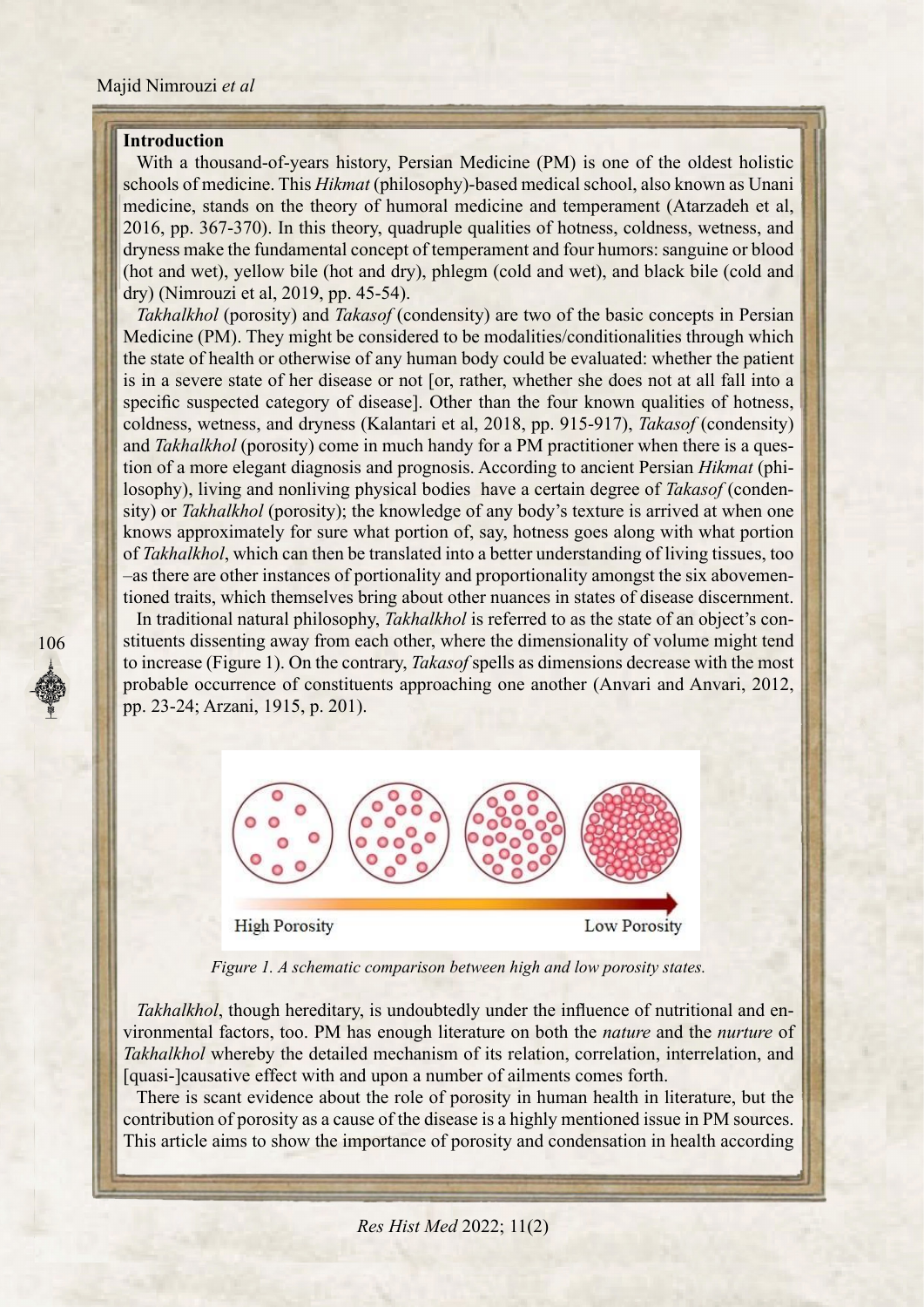#### **Introduction**

106

With a thousand-of-years history, Persian Medicine (PM) is one of the oldest holistic schools of medicine. This *Hikmat* (philosophy)-based medical school, also known as Unani medicine, stands on the theory of humoral medicine and temperament (Atarzadeh et al, 2016, pp. 367-370). In this theory, quadruple qualities of hotness, coldness, wetness, and dryness make the fundamental concept of temperament and four humors: sanguine or blood (hot and wet), yellow bile (hot and dry), phlegm (cold and wet), and black bile (cold and  $dry)$  (Nimrouzi et al, 2019, pp. 45-54).

*Takhalkhol* (porosity) and *Takasof* (condensity) are two of the basic concepts in Persian Medicine (PM). They might be considered to be modalities/conditionalities through which the state of health or otherwise of any human body could be evaluated: whether the patient is in a severe state of her disease or not [or, rather, whether she does not at all fall into a specific suspected category of disease. Other than the four known qualities of hotness, coldness, wetness, and dryness (Kalantari et al, 2018, pp. 915-917), *Takasof* (condensity) sity) or Takhalkhol (porosity); the knowledge of any body's texture is arrived at when one losophy), living and nonliving physical bodies have a certain degree of *Takasof* (condention of a more elegant diagnosis and prognosis. According to ancient Persian *Hikmat* (phiand Takhalkhol (porosity) come in much handy for a PM practitioner when there is a quesknows approximately for sure what portion of, say, hotness goes along with what portion of Takhalkhol, which can then be translated into a better understanding of living tissues, too tioned traits, which themselves bring about other nuances in states of disease discernment. -as there are other instances of portionality and proportionality amongst the six abovemen-

stituents dissenting away from each other, where the dimensionality of volume might tend In traditional natural philosophy, *Takhalkhol* is referred to as the state of an object's conto increase (Figure 1). On the contrary, *Takasof* spells as dimensions decrease with the most probable occurrence of constituents approaching one another (Anvari and Anvari, 2012, pp. 23-24; Arzani, 1915, p. 201).



*Figure 1. A schematic comparison between high and low porosity states.* 

vironmental factors, too. PM has enough literature on both the *nature* and the *nurture* of Takhalkhol, though hereditary, is undoubtedly under the influence of nutritional and en-Takhalkhol whereby the detailed mechanism of its relation, correlation, interrelation, and [quasi-]causative effect with and upon a number of ailments comes forth.

There is scant evidence about the role of porosity in human health in literature, but the contribution of porosity as a cause of the disease is a highly mentioned issue in PM sources. This article aims to show the importance of porosity and condensation in health according

*Res Hist Med 2022*; 11(2)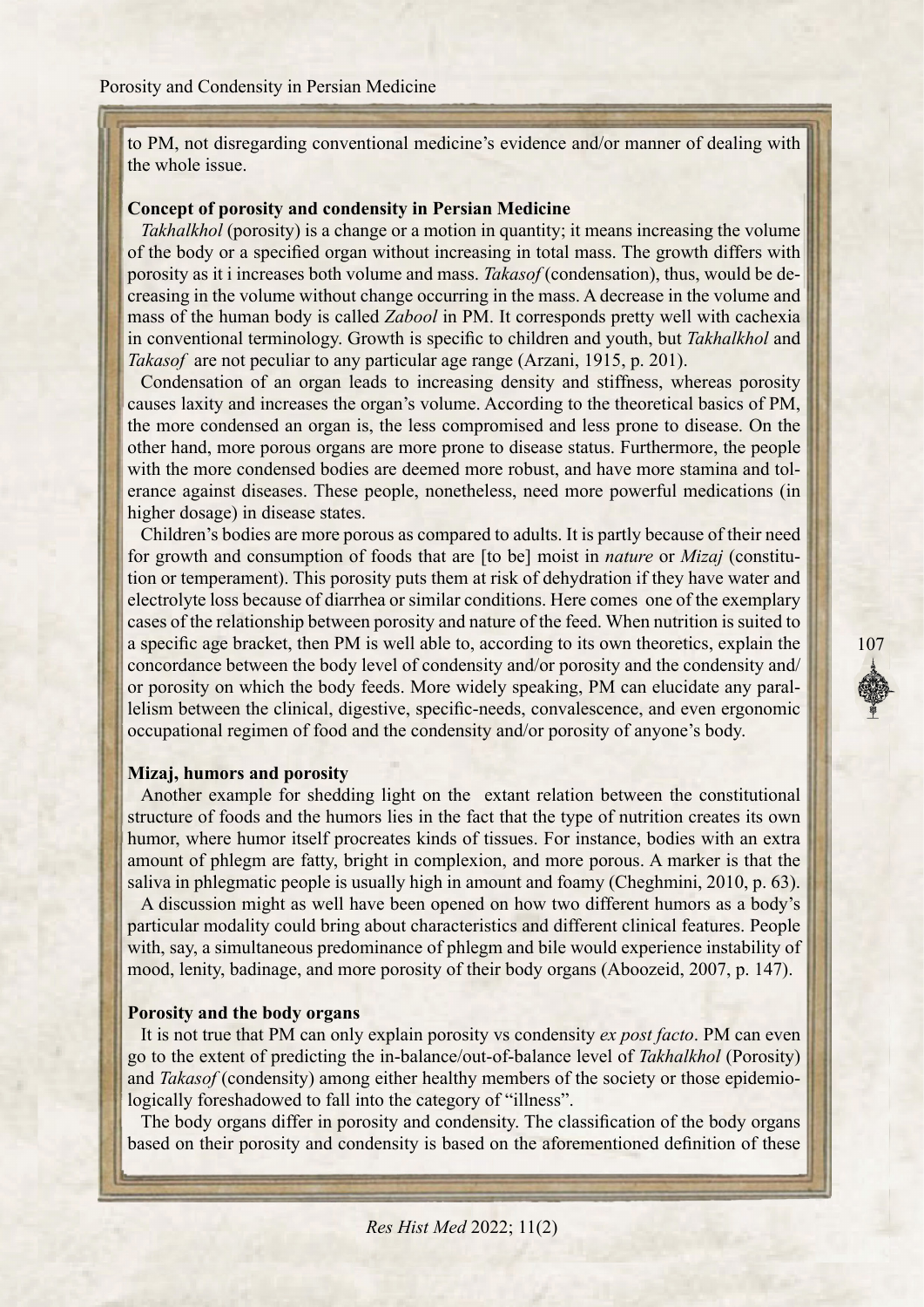to PM, not disregarding conventional medicine's evidence and/or manner of dealing with the whole issue.

#### **Concept of porosity and condensity in Persian Medicine**

*Takhalkhol* (porosity) is a change or a motion in quantity; it means increasing the volume of the body or a specified organ without increasing in total mass. The growth differs with creasing in the volume without change occurring in the mass. A decrease in the volume and porosity as it i increases both volume and mass. *Takasof* (condensation), thus, would be demass of the human body is called Zabool in PM. It corresponds pretty well with cachexia in conventional terminology. Growth is specific to children and youth, but *Takhalkhol* and Takasof are not peculiar to any particular age range (Arzani, 1915, p. 201).

Condensation of an organ leads to increasing density and stiffness, whereas porosity causes laxity and increases the organ's volume. According to the theoretical basics of PM, the more condensed an organ is, the less compromised and less prone to disease. On the other hand, more porous organs are more prone to disease status. Furthermore, the people erance against diseases. These people, nonetheless, need more powerful medications (in with the more condensed bodies are deemed more robust, and have more stamina and tolhigher dosage) in disease states.

Children's bodies are more porous as compared to adults. It is partly because of their need tion or temperament). This porosity puts them at risk of dehydration if they have water and for growth and consumption of foods that are [to be] moist in *nature* or *Mizaj* (constituelectrolyte loss because of diarrhea or similar conditions. Here comes one of the exemplary cases of the relationship between porosity and nature of the feed. When nutrition is suited to a specific age bracket, then PM is well able to, according to its own theoretics, explain the concordance between the body level of condensity and/or porosity and the condensity and/ lelism between the clinical, digestive, specific-needs, convalescence, and even ergonomic or porosity on which the body feeds. More widely speaking, PM can elucidate any paraloccupational regimen of food and the condensity and/or porosity of anyone's body.

#### **Mizaj, humors and porosity**

Another example for shedding light on the extant relation between the constitutional structure of foods and the humors lies in the fact that the type of nutrition creates its own humor, where humor itself procreates kinds of tissues. For instance, bodies with an extra amount of phlegm are fatty, bright in complexion, and more porous. A marker is that the saliva in phlegmatic people is usually high in amount and foamy (Cheghmini, 2010, p.  $63$ ).

A discussion might as well have been opened on how two different humors as a body's particular modality could bring about characteristics and different clinical features. People with, say, a simultaneous predominance of phlegm and bile would experience instability of mood, lenity, badinage, and more porosity of their body organs (Aboozeid, 2007, p. 147).

#### **Porosity and the body organs**

It is not true that PM can only explain porosity vs condensity *ex post facto*. PM can even go to the extent of predicting the in-balance/out-of-balance level of Takhalkhol (Porosity) and *Takasof* (condensity) among either healthy members of the society or those epidemio-<br>logically foreshadowed to fall into the category of "illness".

The body organs differ in porosity and condensity. The classification of the body organs based on their porosity and condensity is based on the aforementioned definition of these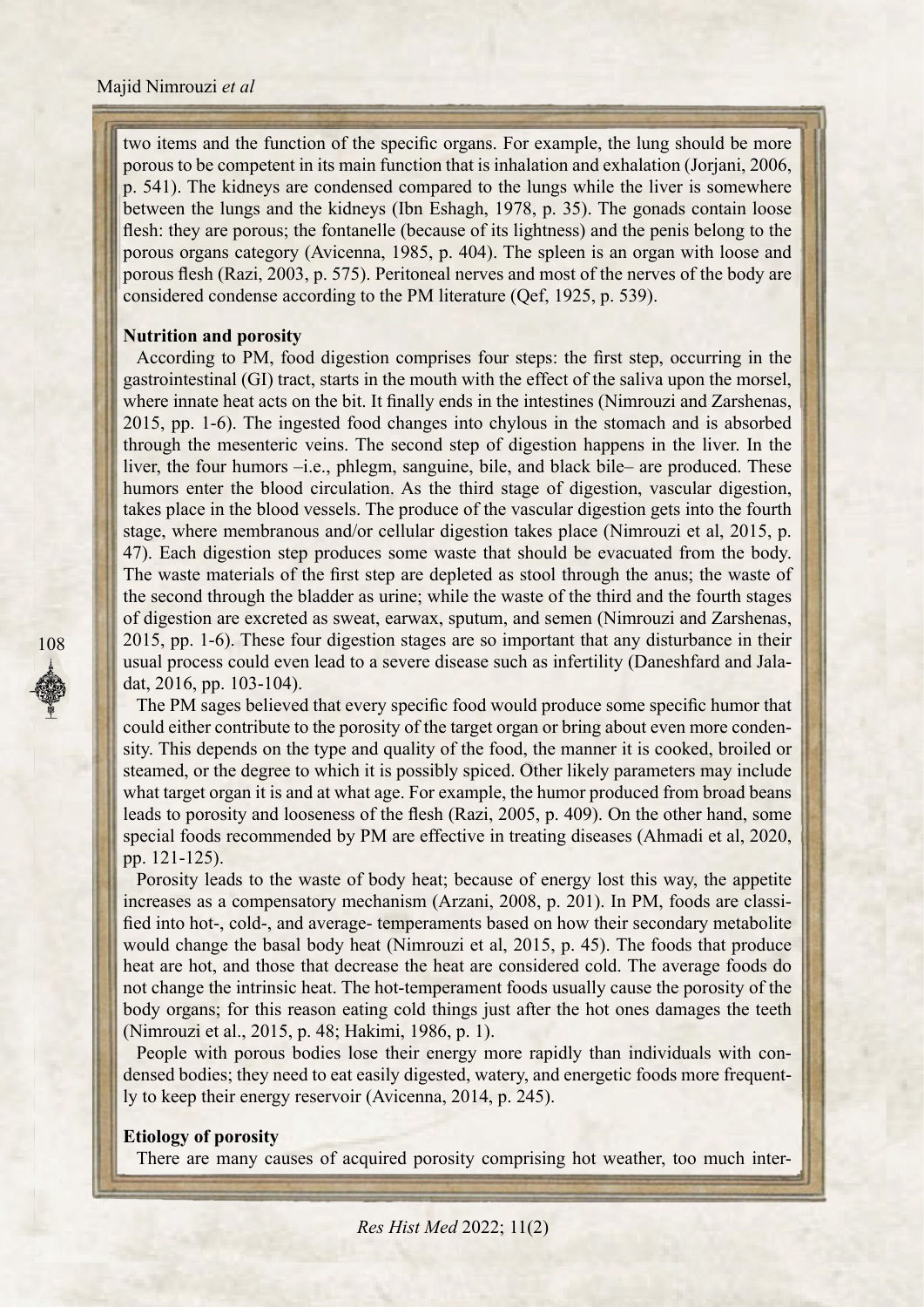two items and the function of the specific organs. For example, the lung should be more porous to be competent in its main function that is inhalation and exhalation (Jorjani, 2006, p. 541). The kidneys are condensed compared to the lungs while the liver is somewhere between the lungs and the kidneys (Ibn Eshagh, 1978, p. 35). The gonads contain loose flesh: they are porous; the fontanelle (because of its lightness) and the penis belong to the porous organs category (Avicenna, 1985, p. 404). The spleen is an organ with loose and porous flesh (Razi, 2003, p. 575). Peritoneal nerves and most of the nerves of the body are considered condense according to the PM literature (Qef, 1925, p. 539).

#### **Nutrition and porosity**

According to PM, food digestion comprises four steps: the first step, occurring in the gastrointestinal (GI) tract, starts in the mouth with the effect of the saliva upon the morsel, where innate heat acts on the bit. It finally ends in the intestines (Nimrouzi and Zarshenas, 2015, pp. 1-6). The ingested food changes into chylous in the stomach and is absorbed through the mesenteric veins. The second step of digestion happens in the liver. In the liver, the four humors – i.e., phlegm, sanguine, bile, and black bile – are produced. These humors enter the blood circulation. As the third stage of digestion, vascular digestion, takes place in the blood vessels. The produce of the vascular digestion gets into the fourth stage, where membranous and/or cellular digestion takes place (Nimrouzi et al, 2015, p. 47). Each digestion step produces some waste that should be evacuated from the body. The waste materials of the first step are depleted as stool through the anus; the waste of the second through the bladder as urine; while the waste of the third and the fourth stages of digestion are excreted as sweat, earwax, sputum, and semen (Nimrouzi and Zarshenas, 2015, pp. 1-6). These four digestion stages are so important that any disturbance in their usual process could even lead to a severe disease such as infertility (Daneshfard and Jala-<br>dat, 2016, pp. 103-104).

The PM sages believed that every specific food would produce some specific humor that sity. This depends on the type and quality of the food, the manner it is cooked, broiled or could either contribute to the porosity of the target organ or bring about even more condensteamed, or the degree to which it is possibly spiced. Other likely parameters may include what target organ it is and at what age. For example, the humor produced from broad beans leads to porosity and looseness of the flesh (Razi, 2005, p. 409). On the other hand, some special foods recommended by PM are effective in treating diseases (Ahmadi et al, 2020, pp. 121-125). 2015. pp. 16). The May disturbance in the means of the mean the mean the mean the same of cause of cause is solved that any disturbance in the PM same being that, 2016, pp. 103-104). This depends on the type and quality o

Porosity leads to the waste of body heat; because of energy lost this way, the appetite fied into hot-, cold-, and average- temperaments based on how their secondary metabolite increases as a compensatory mechanism (Arzani, 2008, p. 201). In PM, foods are classiwould change the basal body heat (Nimrouzi et al. 2015, p. 45). The foods that produce heat are hot, and those that decrease the heat are considered cold. The average foods do not change the intrinsic heat. The hot-temperament foods usually cause the porosity of the body organs; for this reason eating cold things just after the hot ones damages the teeth (Nimrouzi et al., 2015, p. 48; Hakimi, 1986, p. 1).

densed bodies; they need to eat easily digested, watery, and energetic foods more frequent-<br>ly to keep their energy reservoir (Avicenna, 2014, p. 245). Frequent more frequent more foods with porous bodies lose their energy more rapidly than individuals with condensed bodies; they need to eat easily digested, watery, and energetic foods more frequent-People with porous bodies lose their energy more rapidly than individuals with con-

#### **Etiology** of porosity

There are many causes of acquired porosity comprising hot weather, too much inter-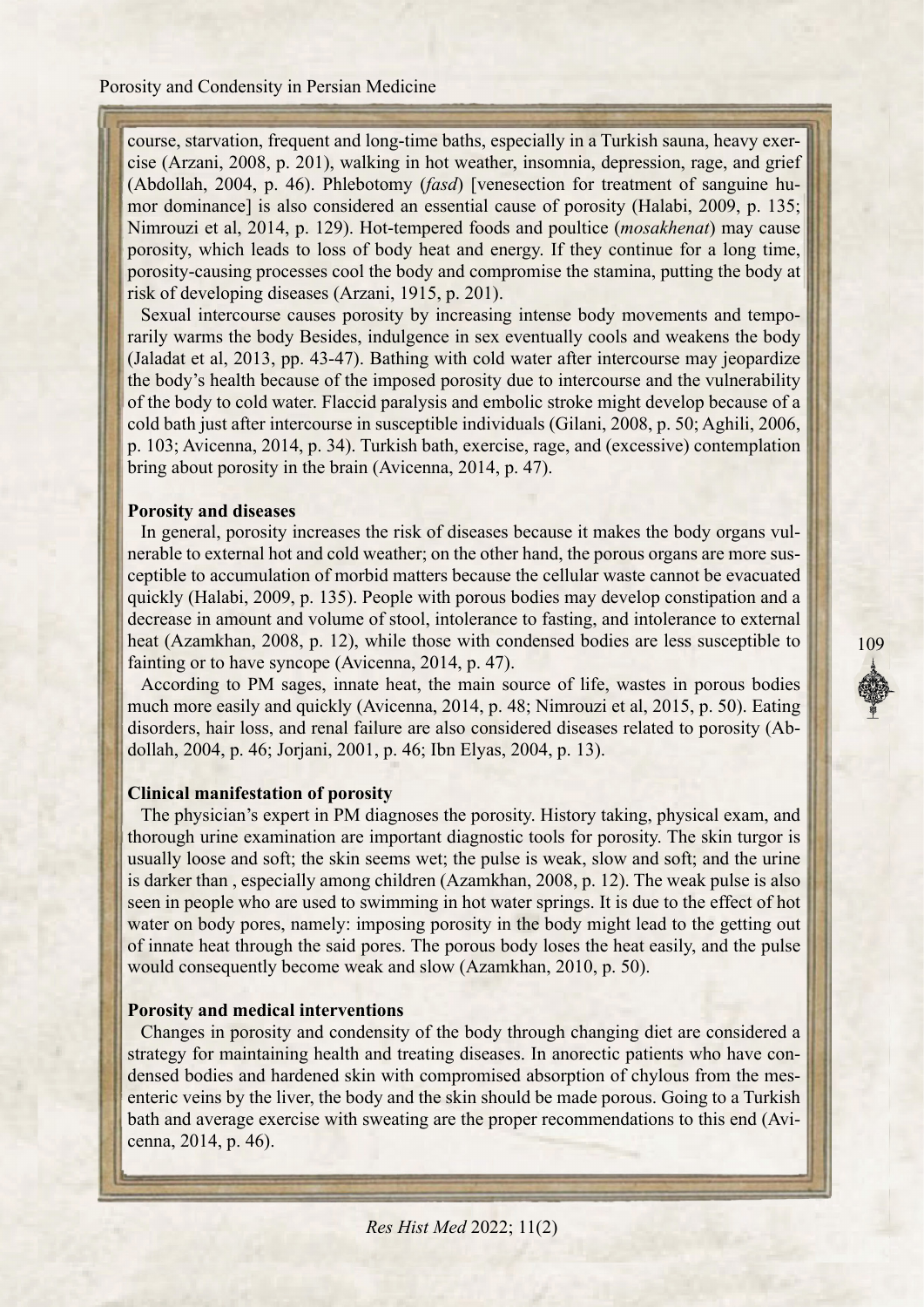cise (Arzani, 2008, p. 201), walking in hot weather, insomnia, depression, rage, and grief course, starvation, frequent and long-time baths, especially in a Turkish sauna, heavy exermor dominance] is also considered an essential cause of porosity (Halabi, 2009, p. 135; (Abdollah, 2004, p. 46). Phlebotomy *(fasd)* [venesection for treatment of sanguine hu-Nimrouzi et al, 2014, p. 129). Hot-tempered foods and poultice *(mosakhenat)* may cause porosity, which leads to loss of body heat and energy. If they continue for a long time, porosity-causing processes cool the body and compromise the stamina, putting the body at risk of developing diseases (Arzani, 1915, p. 201).

rarily warms the body Besides, indulgence in sex eventually cools and weakens the body Sexual intercourse causes porosity by increasing intense body movements and tempo-(Jaladat et al.  $2013$ , pp. 43-47). Bathing with cold water after intercourse may jeopardize the body's health because of the imposed porosity due to intercourse and the vulnerability of the body to cold water. Flaccid paralysis and embolic stroke might develop because of a cold bath just after intercourse in susceptible individuals (Gilani, 2008, p. 50; Aghili, 2006, p. 103; Avicenna, 2014, p. 34). Turkish bath, exercise, rage, and (excessive) contemplation bring about porosity in the brain (Avicenna, 2014, p. 47).

#### **Porosity and diseases**

nerable to external hot and cold weather; on the other hand, the porous organs are more sus-<br>ceptible to accumulation of morbid matters because the cellular waste cannot be evacuated In general, porosity increases the risk of diseases because it makes the body organs vulnerable to external hot and cold weather; on the other hand, the porous organs are more susquickly (Halabi, 2009, p. 135). People with porous bodies may develop constipation and a decrease in amount and volume of stool, intolerance to fasting, and intolerance to external heat (Azamkhan, 2008, p. 12), while those with condensed bodies are less susceptible to fainting or to have syncope (Avicenna,  $2014$ , p. 47).

According to PM sages, innate heat, the main source of life, wastes in porous bodies much more easily and quickly (Avicenna, 2014, p. 48; Nimrouzi et al, 2015, p. 50). Eating disorders, hair loss, and renal failure are also considered diseases related to porosity (Abdollah, 2004, p. 46; Jorjani, 2001, p. 46; Ibn Elyas, 2004, p. 13).

#### **Clinical manifestation of porosity**

The physician's expert in PM diagnoses the porosity. History taking, physical exam, and thorough urine examination are important diagnostic tools for porosity. The skin turgor is usually loose and soft; the skin seems wet; the pulse is weak, slow and soft; and the urine is darker than, especially among children (Azamkhan, 2008, p. 12). The weak pulse is also seen in people who are used to swimming in hot water springs. It is due to the effect of hot water on body pores, namely: imposing porosity in the body might lead to the getting out of innate heat through the said pores. The porous body loses the heat easily, and the pulse would consequently become weak and slow (Azamkhan, 2010, p. 50).

#### **Porosity and medical interventions**

Changes in porosity and condensity of the body through changing diet are considered a enteric veins by the liver, the body and the skin should be made porous. Going to a Turkish densed bodies and hardened skin with compromised absorption of chylous from the messtrategy for maintaining health and treating diseases. In anorectic patients who have conbath and average exercise with sweating are the proper recommendations to this end (Avicenna, 2014, p. 46).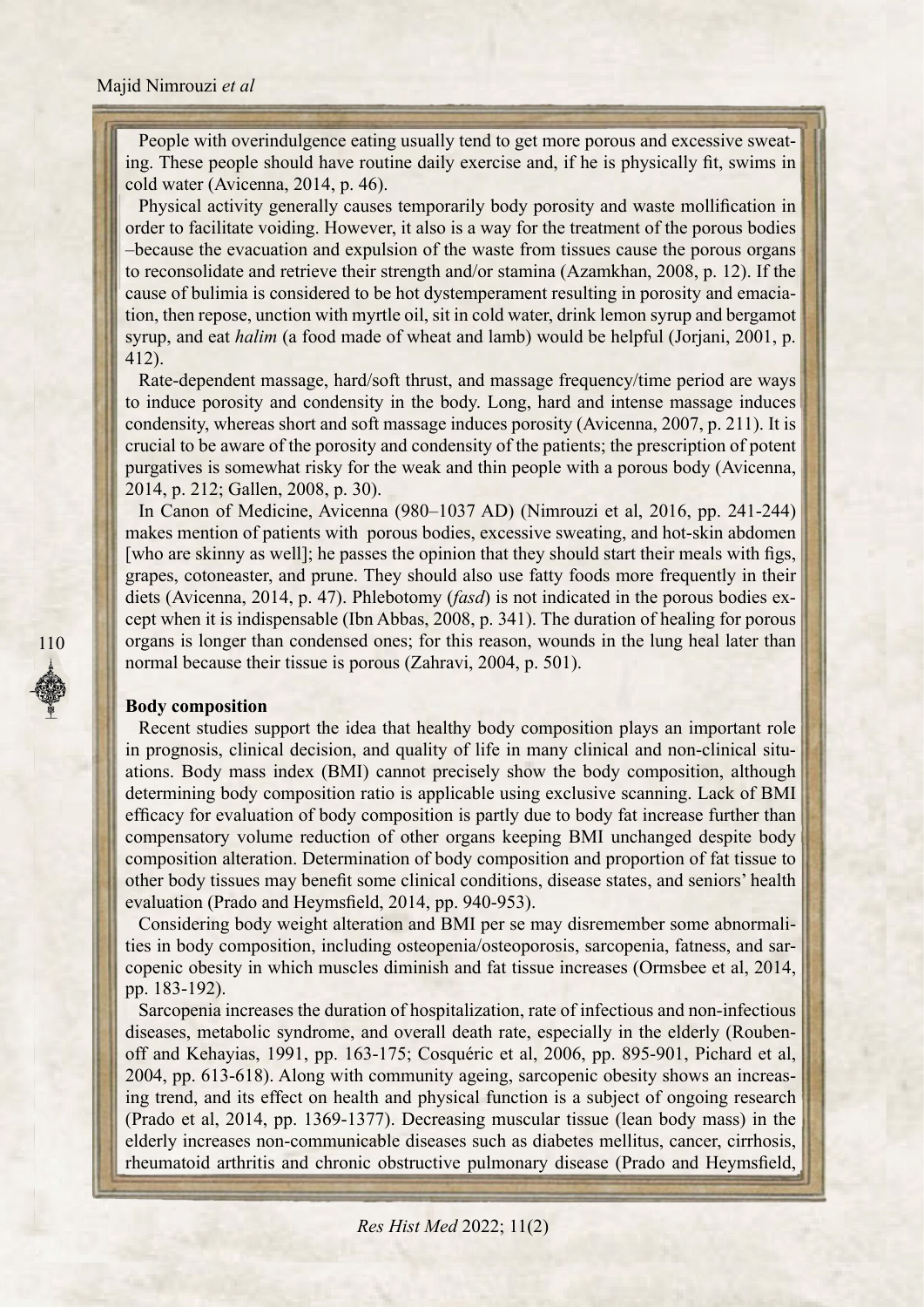ing. These people should have routine daily exercise and, if he is physically fit, swims in People with overindulgence eating usually tend to get more porous and excessive sweatcold water (Avicenna,  $2014$ , p. 46).

Physical activity generally causes temporarily body porosity and waste mollification in order to facilitate voiding. However, it also is a way for the treatment of the porous bodies -because the evacuation and expulsion of the waste from tissues cause the porous organs to reconsolidate and retrieve their strength and/or stamina (Azamkhan, 2008, p. 12). If the tion, then repose, unction with myrtle oil, sit in cold water, drink lemon syrup and bergamot cause of bulimia is considered to be hot dystemperament resulting in porosity and emaciasyrup, and eat *halim* (a food made of wheat and lamb) would be helpful (Jorjani, 2001, p.  $412$ ).

Rate-dependent massage, hard/soft thrust, and massage frequency/time period are ways to induce porosity and condensity in the body. Long, hard and intense massage induces condensity, whereas short and soft massage induces porosity (Avicenna, 2007, p. 211). It is crucial to be aware of the porosity and condensity of the patients; the prescription of potent purgatives is somewhat risky for the weak and thin people with a porous body (Avicenna, 2014, p. 212; Gallen, 2008, p. 30).

In Canon of Medicine, Avicenna  $(980-1037$  AD) (Nimrouzi et al, 2016, pp. 241-244) makes mention of patients with porous bodies, excessive sweating, and hot-skin abdomen [who are skinny as well]; he passes the opinion that they should start their meals with figs, grapes, cotoneaster, and prune. They should also use fatty foods more frequently in their cept when it is indispensable (Ibn Abbas, 2008, p. 341). The duration of healing for porous diets (Avicenna, 2014, p. 47). Phlebotomy *(fasd)* is not indicated in the porous bodies exorgans is longer than condensed ones; for this reason, wounds in the lung heal later than normal because their tissue is porous (Zahravi, 2004, p. 501).

### **Body** composition

Recent studies support the idea that healthy body composition plays an important role ations. Body mass index (BMI) cannot precisely show the body composition, although in prognosis, clinical decision, and quality of life in many clinical and non-clinical situdetermining body composition ratio is applicable using exclusive scanning. Lack of BMI efficacy for evaluation of body composition is partly due to body fat increase further than compensatory volume reduction of other organs keeping BMI unchanged despite body composition alteration. Determination of body composition and proportion of fat tissue to other body tissues may benefit some clinical conditions, disease states, and seniors' health evaluation (Prado and Heymsfield, 2014, pp. 940-953).

copenic obesity in which muscles diminish and fat tissue increases (Ormsbee et al, 2014, ties in body composition, including osteopenia/osteoporosis, sarcopenia, fatness, and sar-Considering body weight alteration and BMI per se may disremember some abnormalipp. 183-192).

Sarcopenia increases the duration of hospitalization, rate of infectious and non-infectious off and Kehayias, 1991, pp. 163-175; Cosquéric et al, 2006, pp. 895-901, Pichard et al, diseases, metabolic syndrome, and overall death rate, especially in the elderly (Roubening trend, and its effect on health and physical function is a subject of ongoing research 2004, pp. 613-618). Along with community ageing, sarcopenic obesity shows an increas-(Prado et al., 2014, pp. 1369-1377). Decreasing muscular tissue (lean body mass) in the elderly increases non-communicable diseases such as diabetes mellitus, cancer, cirrhosis, rheumatoid arthritis and chronic obstructive pulmonary disease (Prado and Heymsfield,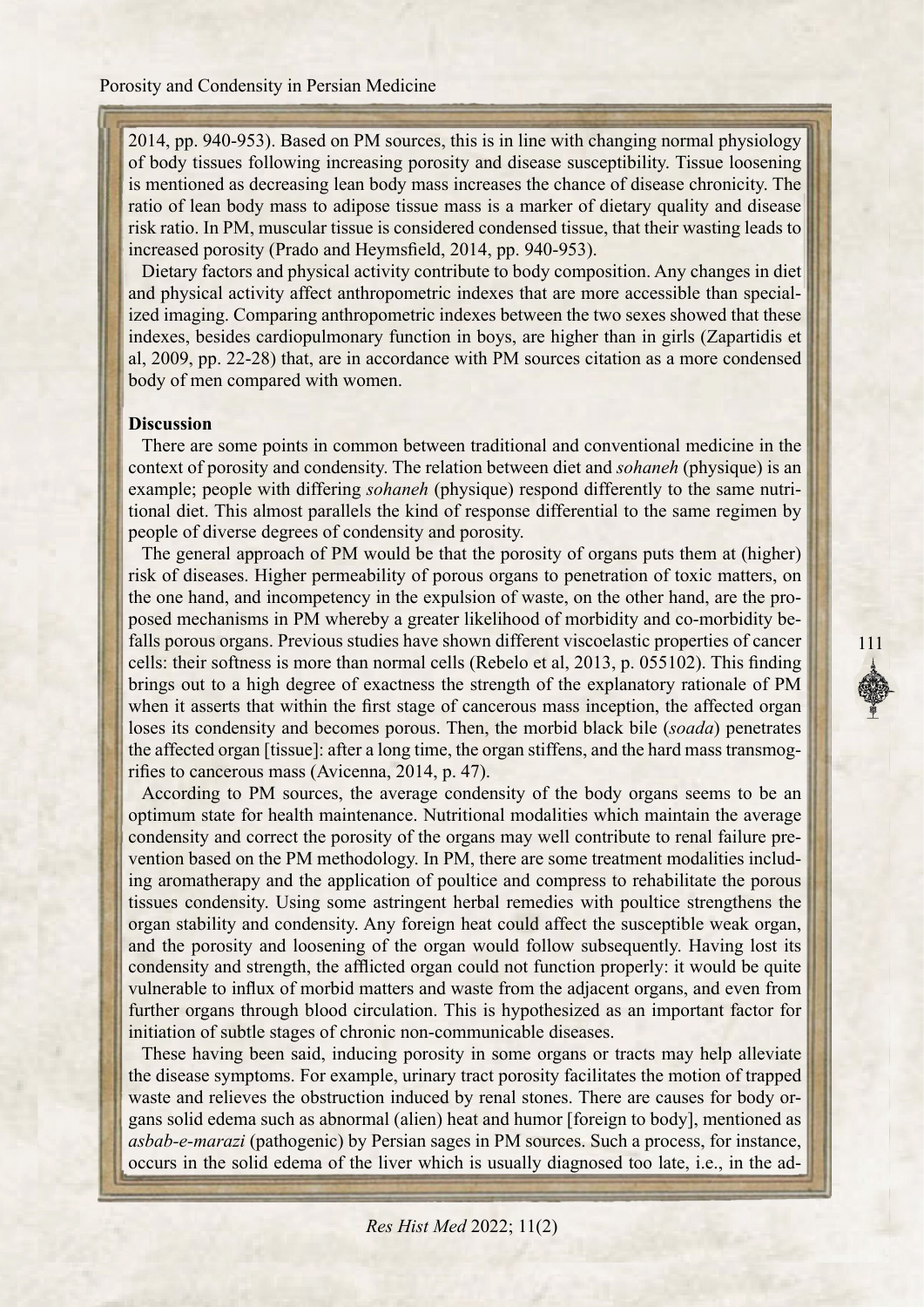2014, pp. 940-953). Based on PM sources, this is in line with changing normal physiology of body tissues following increasing porosity and disease susceptibility. Tissue loosening is mentioned as decreasing lean body mass increases the chance of disease chronicity. The ratio of lean body mass to adipose tissue mass is a marker of dietary quality and disease risk ratio. In PM, muscular tissue is considered condensed tissue, that their wasting leads to increased porosity (Prado and Heymsfield, 2014, pp. 940-953).

Dietary factors and physical activity contribute to body composition. Any changes in diet ized imaging. Comparing anthropometric indexes between the two sexes showed that these and physical activity affect anthropometric indexes that are more accessible than specialindexes, besides cardiopulmonary function in boys, are higher than in girls (Zapartidis et al, 2009, pp. 22-28) that, are in accordance with PM sources citation as a more condensed body of men compared with women.

#### **Discussion**

There are some points in common between traditional and conventional medicine in the context of porosity and condensity. The relation between diet and *sohaneh* (physique) is an tional diet. This almost parallels the kind of response differential to the same regimen by example; people with differing *sohaneh* (physique) respond differently to the same nutripeople of diverse degrees of condensity and porosity.

The general approach of PM would be that the porosity of organs puts them at (higher) risk of diseases. Higher permeability of porous organs to penetration of toxic matters, on falls porous organs. Previous studies have shown different viscoelastic properties of cancer posed mechanisms in PM whereby a greater likelihood of morbidity and co-morbidity bethe one hand, and incompetency in the expulsion of waste, on the other hand, are the procells: their softness is more than normal cells (Rebelo et al,  $2013$ , p.  $055102$ ). This finding brings out to a high degree of exactness the strength of the explanatory rationale of PM when it asserts that within the first stage of cancerous mass inception, the affected organ loses its condensity and becomes porous. Then, the morbid black bile *(soada)* penetrates the affected organ [tissue]: after a long time, the organ stiffens, and the hard mass transmog-<br>rifies to cancerous mass (Avicenna, 2014, p. 47).

111

According to PM sources, the average condensity of the body organs seems to be an optimum state for health maintenance. Nutritional modalities which maintain the average ing aromatherapy and the application of poultice and compress to rehabilitate the porous vention based on the PM methodology. In PM, there are some treatment modalities includcondensity and correct the porosity of the organs may well contribute to renal failure pretissues condensity. Using some astringent herbal remedies with poultice strengthens the organ stability and condensity. Any foreign heat could affect the susceptible weak organ, and the porosity and loosening of the organ would follow subsequently. Having lost its condensity and strength, the afflicted organ could not function properly: it would be quite vulnerable to influx of morbid matters and waste from the adjacent organs, and even from further organs through blood circulation. This is hypothesized as an important factor for initiation of subtle stages of chronic non-communicable diseases.

These having been said, inducing porosity in some organs or tracts may help alleviate the disease symptoms. For example, urinary tract porosity facilitates the motion of trapped gans solid edema such as abnormal (alien) heat and humor [foreign to body], mentioned as waste and relieves the obstruction induced by renal stones. There are causes for body orasbab-e-marazi (pathogenic) by Persian sages in PM sources. Such a process, for instance, occurs in the solid edema of the liver which is usually diagnosed too late, i.e., in the ad-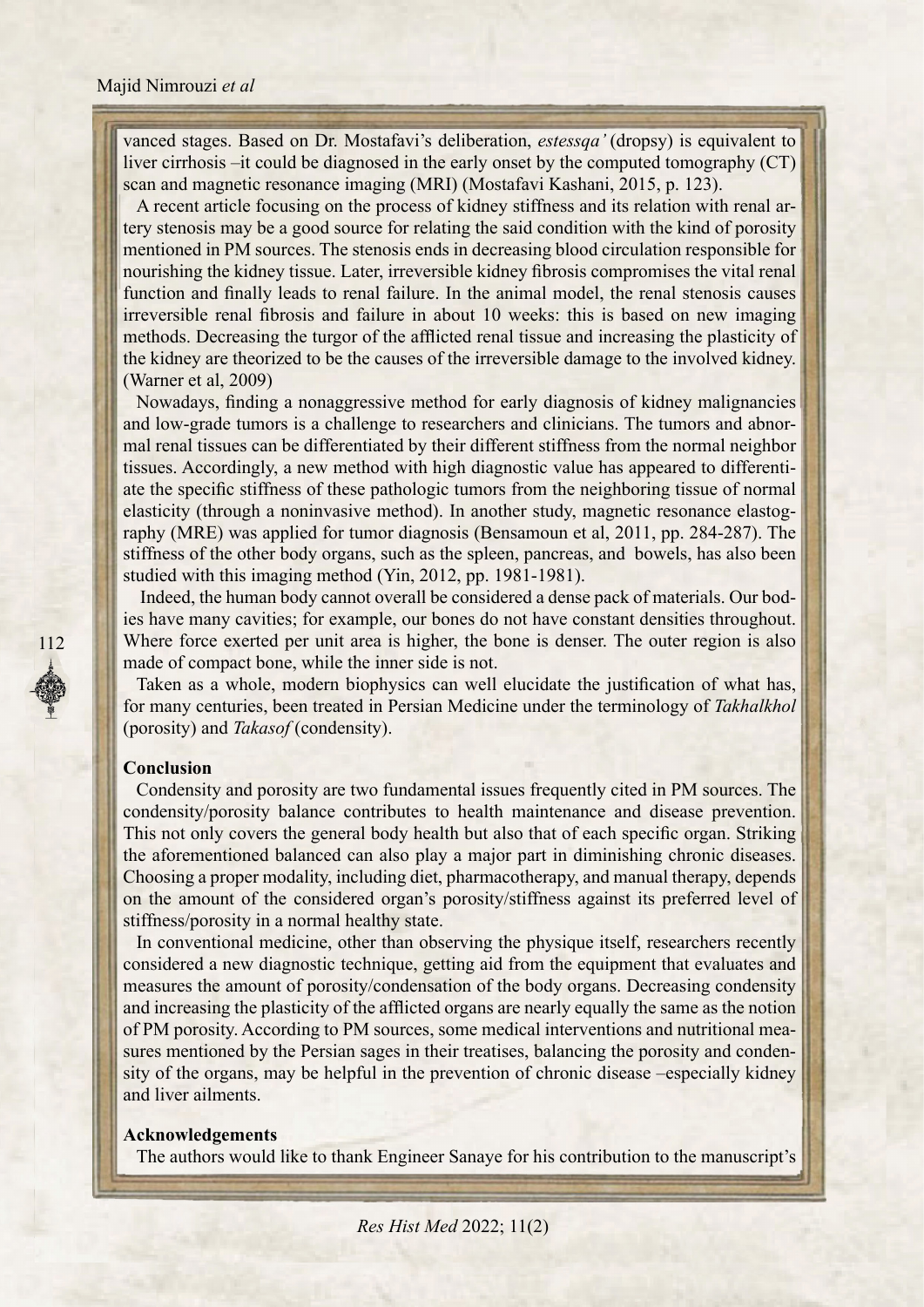vanced stages. Based on Dr. Mostafavi's deliberation, *estessqa* '(dropsy) is equivalent to liver cirrhosis  $-it$  could be diagnosed in the early onset by the computed tomography  $(CT)$ scan and magnetic resonance imaging (MRI) (Mostafavi Kashani, 2015, p. 123).

tery stenosis may be a good source for relating the said condition with the kind of porosity A recent article focusing on the process of kidney stiffness and its relation with renal armentioned in PM sources. The stenosis ends in decreasing blood circulation responsible for nourishing the kidney tissue. Later, irreversible kidney fibrosis compromises the vital renal function and finally leads to renal failure. In the animal model, the renal stenosis causes irreversible renal fibrosis and failure in about 10 weeks: this is based on new imaging methods. Decreasing the turgor of the afflicted renal tissue and increasing the plasticity of the kidney are theorized to be the causes of the irreversible damage to the involved kidney. (Warner et al,  $2009$ )

Nowadays, finding a nonaggressive method for early diagnosis of kidney malignancies mal renal tissues can be differentiated by their different stiffness from the normal neighbor and low-grade tumors is a challenge to researchers and clinicians. The tumors and abnorate the specific stiffness of these pathologic tumors from the neighboring tissue of normal tissues. Accordingly, a new method with high diagnostic value has appeared to differentiraphy (MRE) was applied for tumor diagnosis (Bensamoun et al, 2011, pp. 284-287). The elasticity (through a noninvasive method). In another study, magnetic resonance elastogstiffness of the other body organs, such as the spleen, pancreas, and bowels, has also been studied with this imaging method (Yin, 2012, pp. 1981-1981).

the densities constant densities constant densities throughout. Indeed, the human body cannot overall be considered a dense pack of materials. Our bod-Where force exerted per unit area is higher, the bone is denser. The outer region is also made of compact bone, while the inner side is not.

Taken as a whole, modern biophysics can well elucidate the justification of what has. for many centuries, been treated in Persian Medicine under the terminology of Takhalkhol (porosity) and *Takasof* (condensity).

#### **Conclusion**

112

Condensity and porosity are two fundamental issues frequently cited in PM sources. The condensity/porosity balance contributes to health maintenance and disease prevention. This not only covers the general body health but also that of each specific organ. Striking the aforementioned balanced can also play a major part in diminishing chronic diseases. Choosing a proper modality, including diet, pharmacotherapy, and manual therapy, depends on the amount of the considered organ's porosity/stiffness against its preferred level of stiffness/porosity in a normal healthy state.

In conventional medicine, other than observing the physique itself, researchers recently considered a new diagnostic technique, getting aid from the equipment that evaluates and measures the amount of porosity/condensation of the body organs. Decreasing condensity and increasing the plasticity of the afflicted organs are nearly equally the same as the notion sity of the organs, may be helpful in the prevention of chronic disease –especially kidney sures mentioned by the Persian sages in their treatises, balancing the porosity and condenof PM porosity. According to PM sources, some medical interventions and nutritional meaand liver ailments.

#### **Acknowledgements**

The authors would like to thank Engineer Sanaye for his contribution to the manuscript's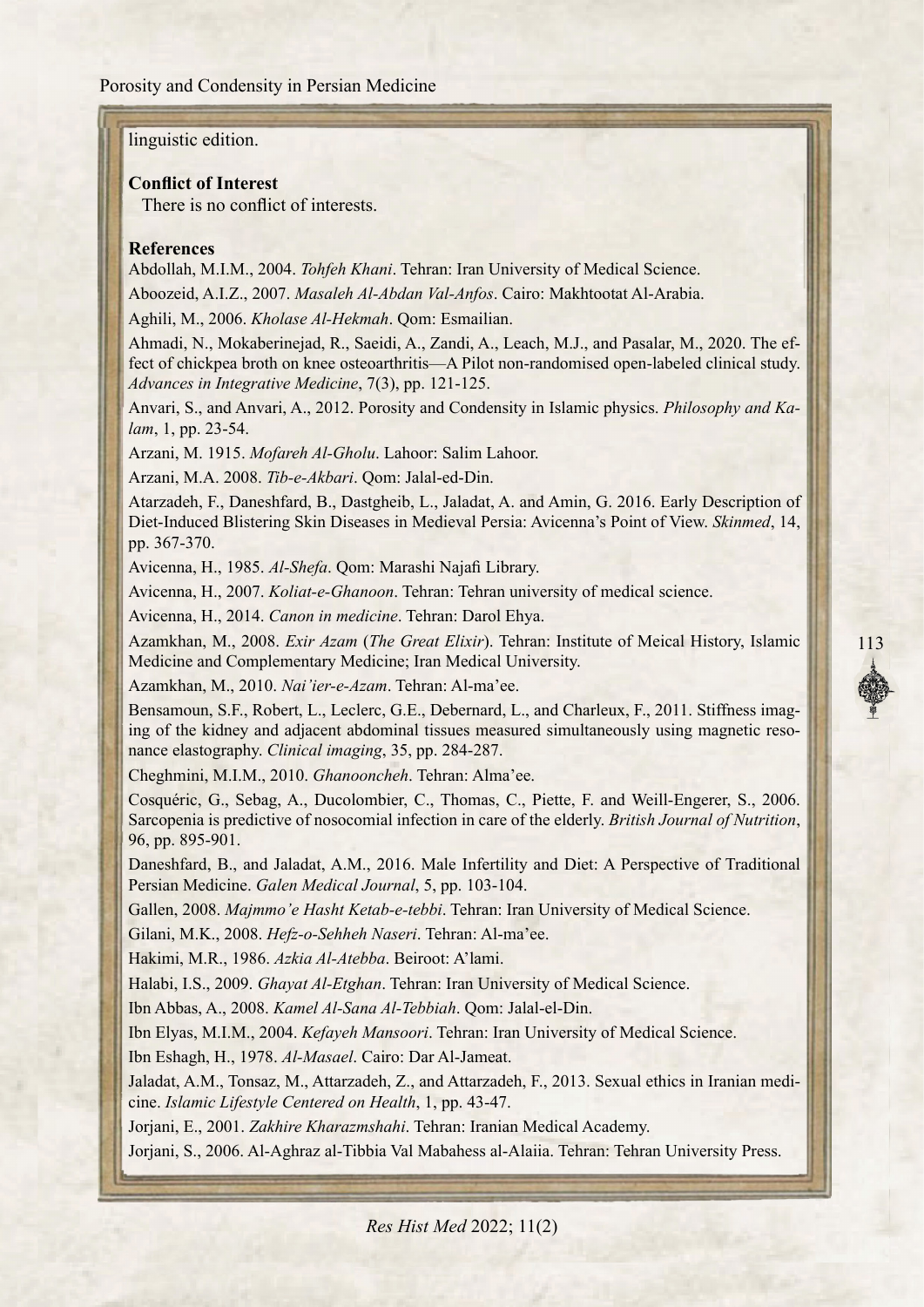#### linguistic edition.

#### **Conflict of Interest**

There is no conflict of interests

#### **References**

Abdollah, M.I.M., 2004. *Tohfeh Khani*, Tehran: Iran University of Medical Science.

Aboozeid, A.I.Z., 2007. Masaleh Al-Abdan Val-Anfos. Cairo: Makhtootat Al-Arabia.

Aghili, M., 2006. *Kholase Al-Hekmah*. Qom: Esmailian.

fect of chickpea broth on knee osteoarthritis—A Pilot non-randomised open-labeled clinical study. Ahmadi, N., Mokaberinejad, R., Saeidi, A., Zandi, A., Leach, M.J., and Pasalar, M., 2020. The ef-Advances in Integrative Medicine, 7(3), pp. 121-125.

Anvari, S., and Anvari, A., 2012. Porosity and Condensity in Islamic physics. *Philosophy and Ka-lam*, 1, pp. 23-54.

Arzani, M. 1915. *Mofareh Al-Gholu*. Lahoor: Salim Lahoor.

Arzani, M.A. 2008. Tib-e-Akbari. Qom: Jalal-ed-Din.

Atarzadeh, F., Daneshfard, B., Dastgheib, L., Jaladat, A. and Amin, G. 2016. Early Description of Diet-Induced Blistering Skin Diseases in Medieval Persia: Avicenna's Point of View. Skinmed, 14, pp. 367-370.

Avicenna, H., 1985. Al-Shefa. Qom: Marashi Najafi Library.

Avicenna, H., 2007. *Koliat-e-Ghanoon*. Tehran: Tehran university of medical science.

Avicenna, H., 2014. Canon in medicine. Tehran: Darol Ehya.

Azamkhan, M., 2008. Exir Azam (The Great Elixir). Tehran: Institute of Meical History, Islamic Medicine and Complementary Medicine; Iran Medical University.

Azamkhan, M., 2010. Nai'ier-e-Azam. Tehran: Al-ma'ee.

ing of the kidney and adjacent abdominal tissues measured simultaneously using magnetic resonance elastography. *Clinical imaging*, 35, pp. 284-287. Bensamoun, S.F., Robert, L., Leclerc, G.E., Debernard, L., and Charleux, F., 2011. Stiffness imaging of the kidney and adjacent abdominal tissues measured simultaneously using magnetic reso-Bensamoun, S.F., Robert, L., Leclerc, G.E., Debernard, L., and Charleux, F., 2011. Stiffness imag-

Cheghmini, M.I.M., 2010. Ghanooncheh. Tehran: Alma'ee.

Cosquéric, G., Sebag, A., Ducolombier, C., Thomas, C., Piette, F. and Weill-Engerer, S., 2006. Sarcopenia is predictive of nosocomial infection in care of the elderly. *British Journal of Nutrition*, 96, pp. 895-901.

Daneshfard, B., and Jaladat, A.M., 2016. Male Infertility and Diet: A Perspective of Traditional Persian Medicine. Galen Medical Journal, 5, pp. 103-104.

Gallen. 2008. *Maimmo'e Hasht Ketab-e-tebbi*. Tehran: Iran University of Medical Science.

Gilani, M.K., 2008. Hefz-o-Sehheh Naseri. Tehran: Al-ma'ee.

Hakimi, M.R., 1986. Azkia Al-Atebba. Beiroot: A'lami.

Halabi, I.S., 2009. Ghayat Al-Etghan. Tehran: Iran University of Medical Science.

Ibn Abbas, A., 2008. *Kamel Al-Sana Al-Tebbiah*. Qom: Jalal-el-Din.

Ibn Elyas, M.I.M., 2004. *Kefayeh Mansoori*. Tehran: Iran University of Medical Science.

Ibn Eshagh, H., 1978. Al-Masael. Cairo: Dar Al-Jameat.

Jaladat, A.M., Tonsaz, M., Attarzadeh, Z., and Attarzadeh, F., 2013. Sexual ethics in Iranian medicine. *Islamic Lifestyle Centered on Health*, 1, pp. 43-47.

Jorjani, E., 2001. Zakhire Kharazmshahi. Tehran: Iranian Medical Academy.

Joriani, S., 2006. Al-Aghraz al-Tibbia Val Mabahess al-Alaiia. Tehran: Tehran University Press.

113